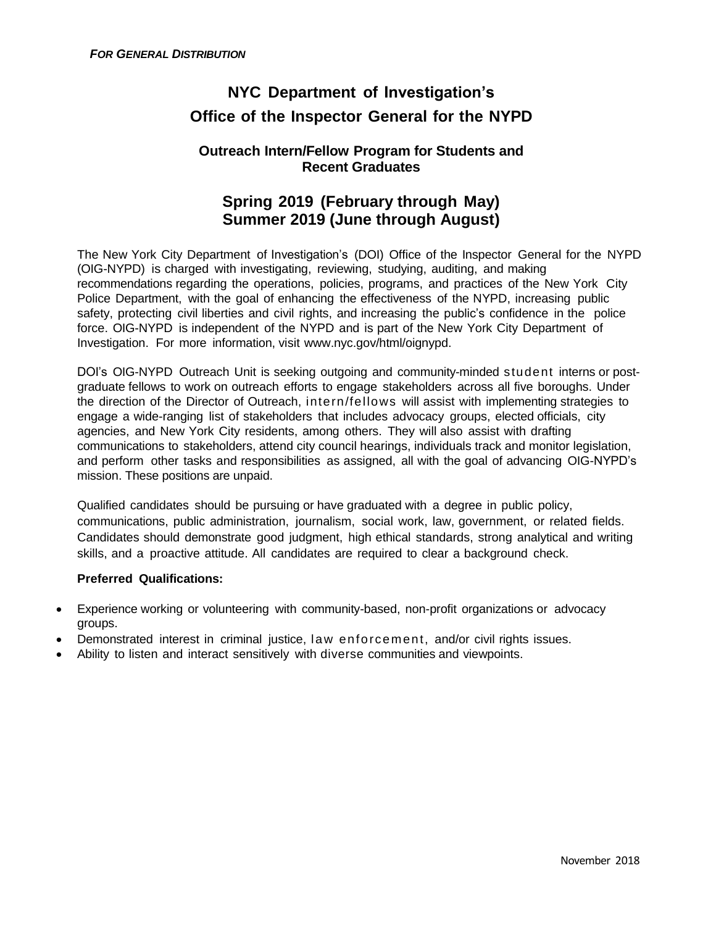# **NYC Department of Investigation's Office of the Inspector General for the NYPD**

### **Outreach Intern/Fellow Program for Students and Recent Graduates**

## **Spring 2019 (February through May) Summer 2019 (June through August)**

The New York City Department of Investigation's (DOI) Office of the Inspector General for the NYPD (OIG-NYPD) is charged with investigating, reviewing, studying, auditing, and making recommendations regarding the operations, policies, programs, and practices of the New York City Police Department, with the goal of enhancing the effectiveness of the NYPD, increasing public safety, protecting civil liberties and civil rights, and increasing the public's confidence in the police force. OIG-NYPD is independent of the NYPD and is part of the New York City Department of Investigation. For more information, visit [www.nyc.gov/html/oignypd.](http://www.nyc.gov/html/oignypd)

DOI's OIG-NYPD Outreach Unit is seeking outgoing and community-minded student interns or postgraduate fellows to work on outreach efforts to engage stakeholders across all five boroughs. Under the direction of the Director of Outreach, intern/fellows will assist with implementing strategies to engage a wide-ranging list of stakeholders that includes advocacy groups, elected officials, city agencies, and New York City residents, among others. They will also assist with drafting communications to stakeholders, attend city council hearings, individuals track and monitor legislation, and perform other tasks and responsibilities as assigned, all with the goal of advancing OIG-NYPD's mission. These positions are unpaid.

Qualified candidates should be pursuing or have graduated with a degree in public policy, communications, public administration, journalism, social work, law, government, or related fields. Candidates should demonstrate good judgment, high ethical standards, strong analytical and writing skills, and a proactive attitude. All candidates are required to clear a background check.

### **Preferred Qualifications:**

- Experience working or volunteering with community-based, non-profit organizations or advocacy groups.
- Demonstrated interest in criminal justice, law enforcement, and/or civil rights issues.
- Ability to listen and interact sensitively with diverse communities and viewpoints.